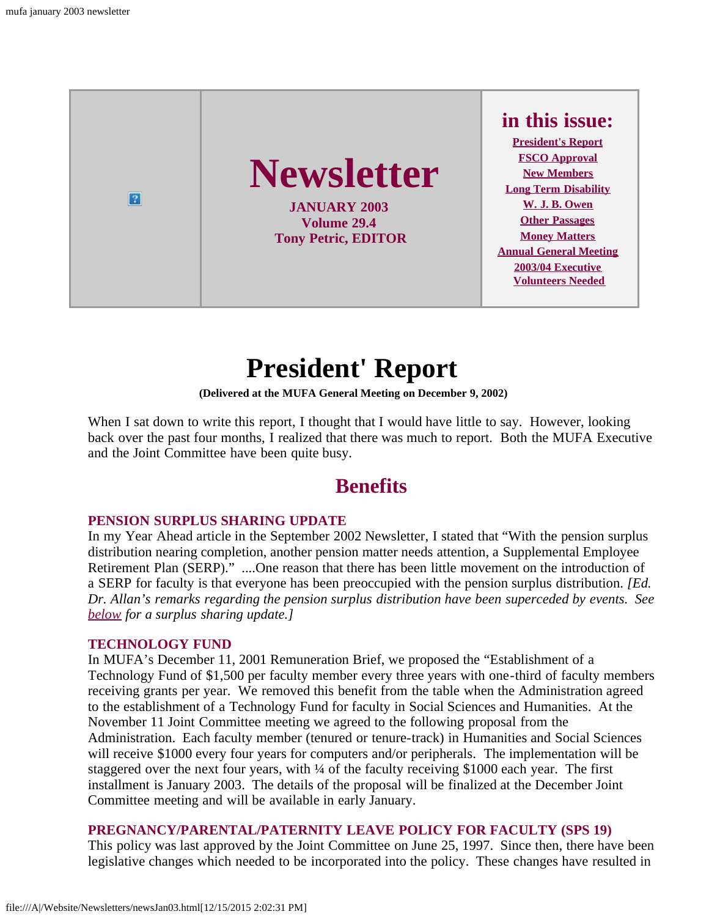

# **President' Report**

**(Delivered at the MUFA General Meeting on December 9, 2002)**

<span id="page-0-0"></span>When I sat down to write this report, I thought that I would have little to say. However, looking back over the past four months, I realized that there was much to report. Both the MUFA Executive and the Joint Committee have been quite busy.

## **Benefits**

#### **PENSION SURPLUS SHARING UPDATE**

In my Year Ahead article in the September 2002 Newsletter, I stated that "With the pension surplus distribution nearing completion, another pension matter needs attention, a Supplemental Employee Retirement Plan (SERP)." ....One reason that there has been little movement on the introduction of a SERP for faculty is that everyone has been preoccupied with the pension surplus distribution. *[Ed. Dr. Allan's remarks regarding the pension surplus distribution have been superceded by events. See [below](#page-2-0) for a surplus sharing update.]*

### **TECHNOLOGY FUND**

In MUFA's December 11, 2001 Remuneration Brief, we proposed the "Establishment of a Technology Fund of \$1,500 per faculty member every three years with one-third of faculty members receiving grants per year. We removed this benefit from the table when the Administration agreed to the establishment of a Technology Fund for faculty in Social Sciences and Humanities. At the November 11 Joint Committee meeting we agreed to the following proposal from the Administration. Each faculty member (tenured or tenure-track) in Humanities and Social Sciences will receive \$1000 every four years for computers and/or peripherals. The implementation will be staggered over the next four years, with ¼ of the faculty receiving \$1000 each year. The first installment is January 2003. The details of the proposal will be finalized at the December Joint Committee meeting and will be available in early January.

### **PREGNANCY/PARENTAL/PATERNITY LEAVE POLICY FOR FACULTY (SPS 19)**

This policy was last approved by the Joint Committee on June 25, 1997. Since then, there have been legislative changes which needed to be incorporated into the policy. These changes have resulted in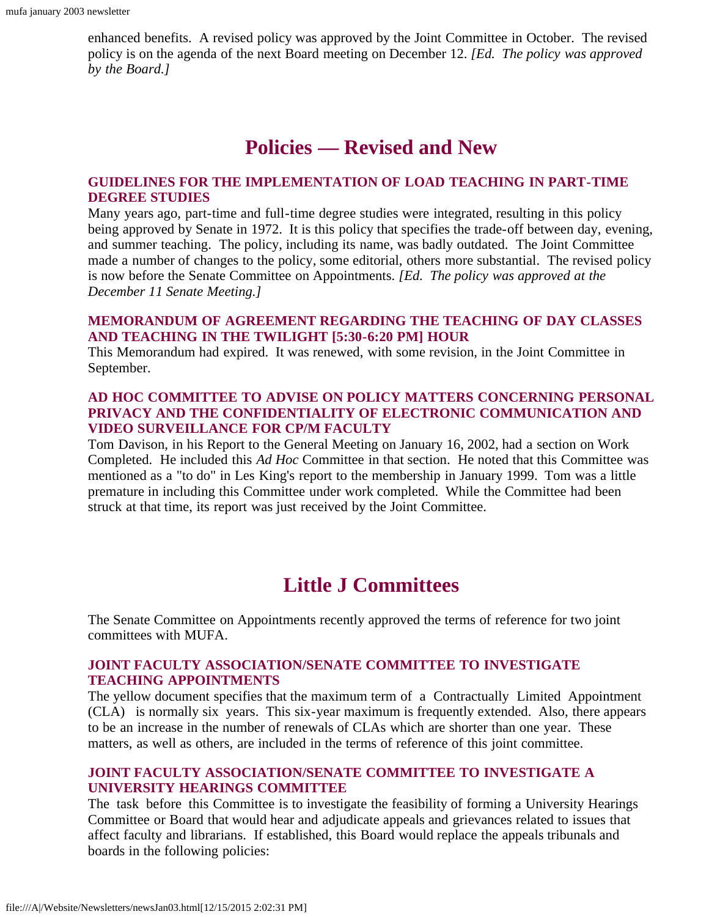enhanced benefits. A revised policy was approved by the Joint Committee in October. The revised policy is on the agenda of the next Board meeting on December 12. *[Ed. The policy was approved by the Board.]*

## **Policies — Revised and New**

### **GUIDELINES FOR THE IMPLEMENTATION OF LOAD TEACHING IN PART-TIME DEGREE STUDIES**

Many years ago, part-time and full-time degree studies were integrated, resulting in this policy being approved by Senate in 1972. It is this policy that specifies the trade-off between day, evening, and summer teaching. The policy, including its name, was badly outdated. The Joint Committee made a number of changes to the policy, some editorial, others more substantial. The revised policy is now before the Senate Committee on Appointments. *[Ed. The policy was approved at the December 11 Senate Meeting.]*

### **MEMORANDUM OF AGREEMENT REGARDING THE TEACHING OF DAY CLASSES AND TEACHING IN THE TWILIGHT [5:30-6:20 PM] HOUR**

This Memorandum had expired. It was renewed, with some revision, in the Joint Committee in September.

### **AD HOC COMMITTEE TO ADVISE ON POLICY MATTERS CONCERNING PERSONAL PRIVACY AND THE CONFIDENTIALITY OF ELECTRONIC COMMUNICATION AND VIDEO SURVEILLANCE FOR CP/M FACULTY**

Tom Davison, in his Report to the General Meeting on January 16, 2002, had a section on Work Completed. He included this *Ad Hoc* Committee in that section. He noted that this Committee was mentioned as a "to do" in Les King's report to the membership in January 1999. Tom was a little premature in including this Committee under work completed. While the Committee had been struck at that time, its report was just received by the Joint Committee.

## **Little J Committees**

The Senate Committee on Appointments recently approved the terms of reference for two joint committees with MUFA.

### **JOINT FACULTY ASSOCIATION/SENATE COMMITTEE TO INVESTIGATE TEACHING APPOINTMENTS**

The yellow document specifies that the maximum term of a Contractually Limited Appointment (CLA) is normally six years. This six-year maximum is frequently extended. Also, there appears to be an increase in the number of renewals of CLAs which are shorter than one year. These matters, as well as others, are included in the terms of reference of this joint committee.

### **JOINT FACULTY ASSOCIATION/SENATE COMMITTEE TO INVESTIGATE A UNIVERSITY HEARINGS COMMITTEE**

The task before this Committee is to investigate the feasibility of forming a University Hearings Committee or Board that would hear and adjudicate appeals and grievances related to issues that affect faculty and librarians. If established, this Board would replace the appeals tribunals and boards in the following policies: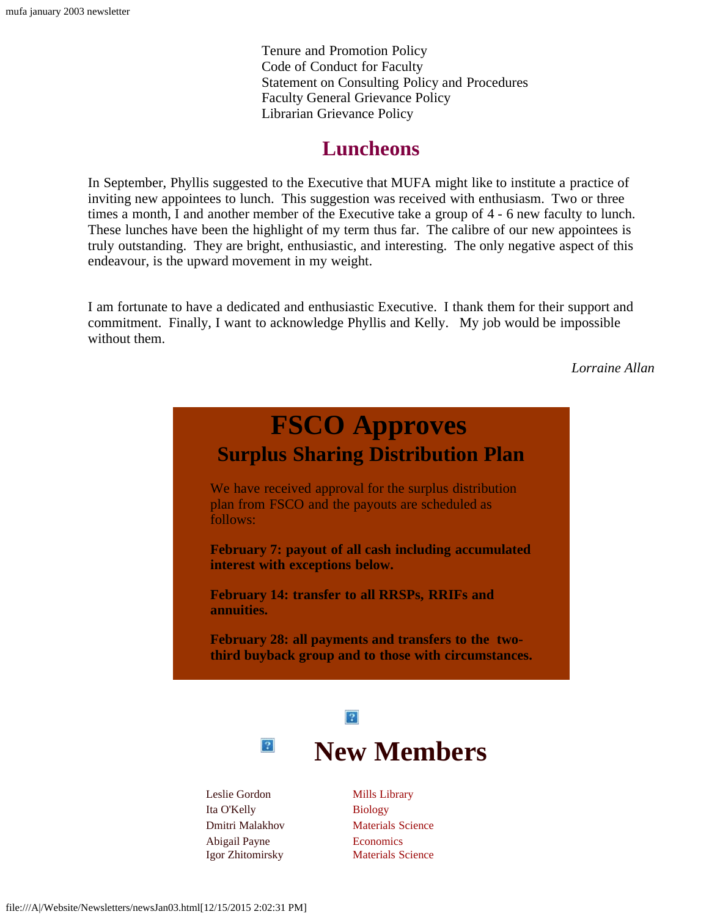Tenure and Promotion Policy Code of Conduct for Faculty Statement on Consulting Policy and Procedures Faculty General Grievance Policy Librarian Grievance Policy

### **Luncheons**

In September, Phyllis suggested to the Executive that MUFA might like to institute a practice of inviting new appointees to lunch. This suggestion was received with enthusiasm. Two or three times a month, I and another member of the Executive take a group of 4 - 6 new faculty to lunch. These lunches have been the highlight of my term thus far. The calibre of our new appointees is truly outstanding. They are bright, enthusiastic, and interesting. The only negative aspect of this endeavour, is the upward movement in my weight.

<span id="page-2-0"></span>I am fortunate to have a dedicated and enthusiastic Executive. I thank them for their support and commitment. Finally, I want to acknowledge Phyllis and Kelly. My job would be impossible without them.

*Lorraine Allan*

<span id="page-2-1"></span>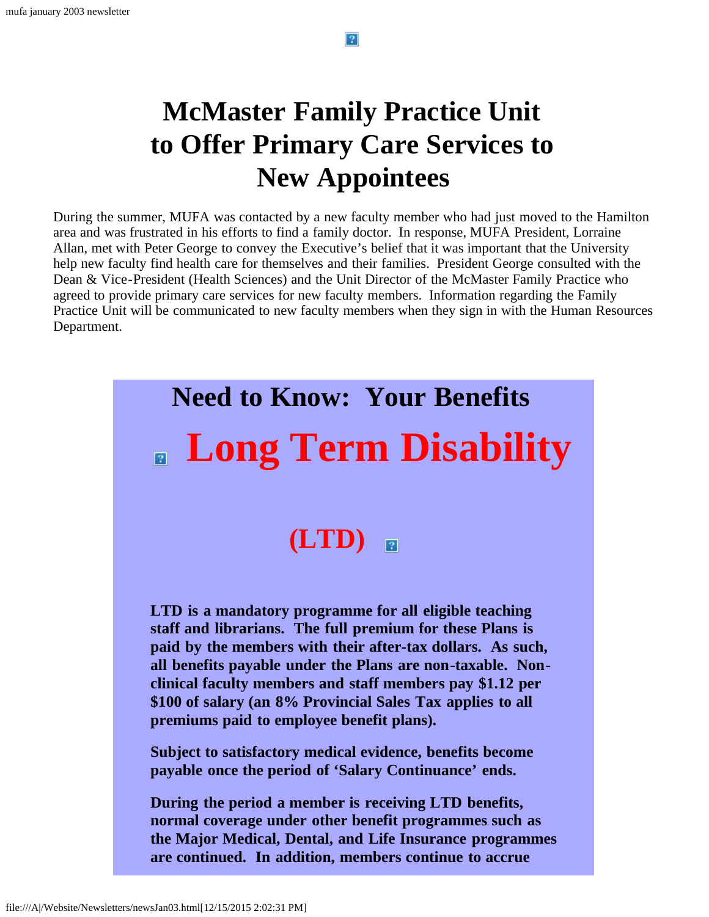# **McMaster Family Practice Unit to Offer Primary Care Services to New Appointees**

During the summer, MUFA was contacted by a new faculty member who had just moved to the Hamilton area and was frustrated in his efforts to find a family doctor. In response, MUFA President, Lorraine Allan, met with Peter George to convey the Executive's belief that it was important that the University help new faculty find health care for themselves and their families. President George consulted with the Dean & Vice-President (Health Sciences) and the Unit Director of the McMaster Family Practice who agreed to provide primary care services for new faculty members. Information regarding the Family Practice Unit will be communicated to new faculty members when they sign in with the Human Resources Department.

# <span id="page-3-0"></span>**Need to Know: Your Benefits Long Term Disability (LTD)**  $\overline{2}$ **LTD is a mandatory programme for all eligible teaching staff and librarians. The full premium for these Plans is paid by the members with their after-tax dollars. As such, all benefits payable under the Plans are non-taxable. Nonclinical faculty members and staff members pay \$1.12 per \$100 of salary (an 8% Provincial Sales Tax applies to all premiums paid to employee benefit plans). Subject to satisfactory medical evidence, benefits become payable once the period of 'Salary Continuance' ends. During the period a member is receiving LTD benefits, normal coverage under other benefit programmes such as the Major Medical, Dental, and Life Insurance programmes are continued. In addition, members continue to accrue**

 $|2|$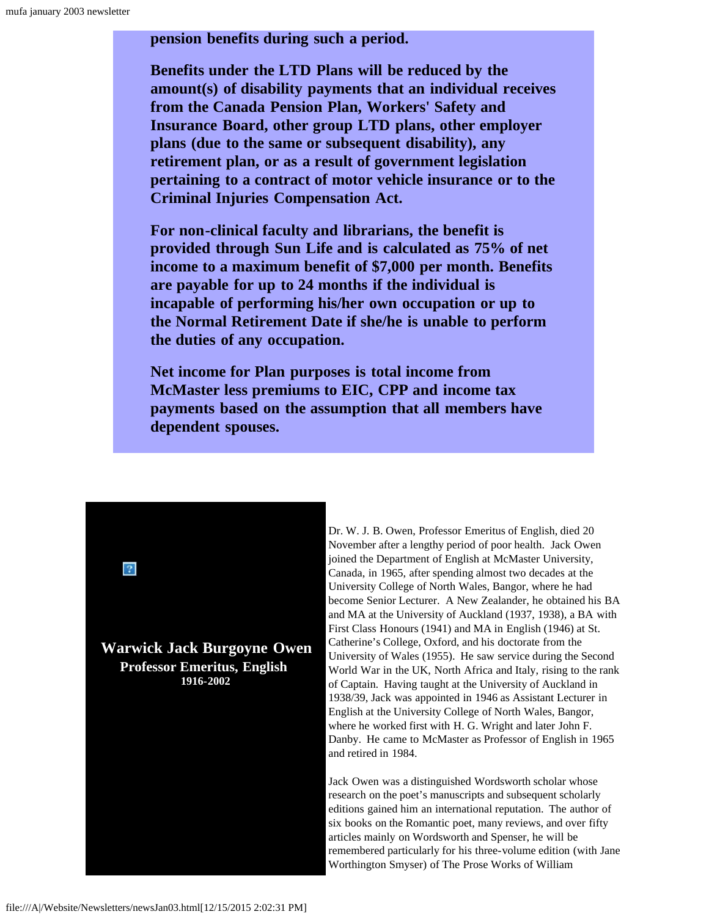**pension benefits during such a period.**

**Benefits under the LTD Plans will be reduced by the amount(s) of disability payments that an individual receives from the Canada Pension Plan, Workers' Safety and Insurance Board, other group LTD plans, other employer plans (due to the same or subsequent disability), any retirement plan, or as a result of government legislation pertaining to a contract of motor vehicle insurance or to the Criminal Injuries Compensation Act.**

**For non-clinical faculty and librarians, the benefit is provided through Sun Life and is calculated as 75% of net income to a maximum benefit of \$7,000 per month. Benefits are payable for up to 24 months if the individual is incapable of performing his/her own occupation or up to the Normal Retirement Date if she/he is unable to perform the duties of any occupation.**

**Net income for Plan purposes is total income from McMaster less premiums to EIC, CPP and income tax payments based on the assumption that all members have dependent spouses.**

<span id="page-4-0"></span>**Warwick Jack Burgoyne Owen Professor Emeritus, English 1916-2002**

Dr. W. J. B. Owen, Professor Emeritus of English, died 20 November after a lengthy period of poor health. Jack Owen joined the Department of English at McMaster University, Canada, in 1965, after spending almost two decades at the University College of North Wales, Bangor, where he had become Senior Lecturer. A New Zealander, he obtained his BA and MA at the University of Auckland (1937, 1938), a BA with First Class Honours (1941) and MA in English (1946) at St. Catherine's College, Oxford, and his doctorate from the University of Wales (1955). He saw service during the Second World War in the UK, North Africa and Italy, rising to the rank of Captain. Having taught at the University of Auckland in 1938/39, Jack was appointed in 1946 as Assistant Lecturer in English at the University College of North Wales, Bangor, where he worked first with H. G. Wright and later John F. Danby. He came to McMaster as Professor of English in 1965 and retired in 1984.

Jack Owen was a distinguished Wordsworth scholar whose research on the poet's manuscripts and subsequent scholarly editions gained him an international reputation. The author of six books on the Romantic poet, many reviews, and over fifty articles mainly on Wordsworth and Spenser, he will be remembered particularly for his three-volume edition (with Jane Worthington Smyser) of The Prose Works of William

 $\sqrt{2}$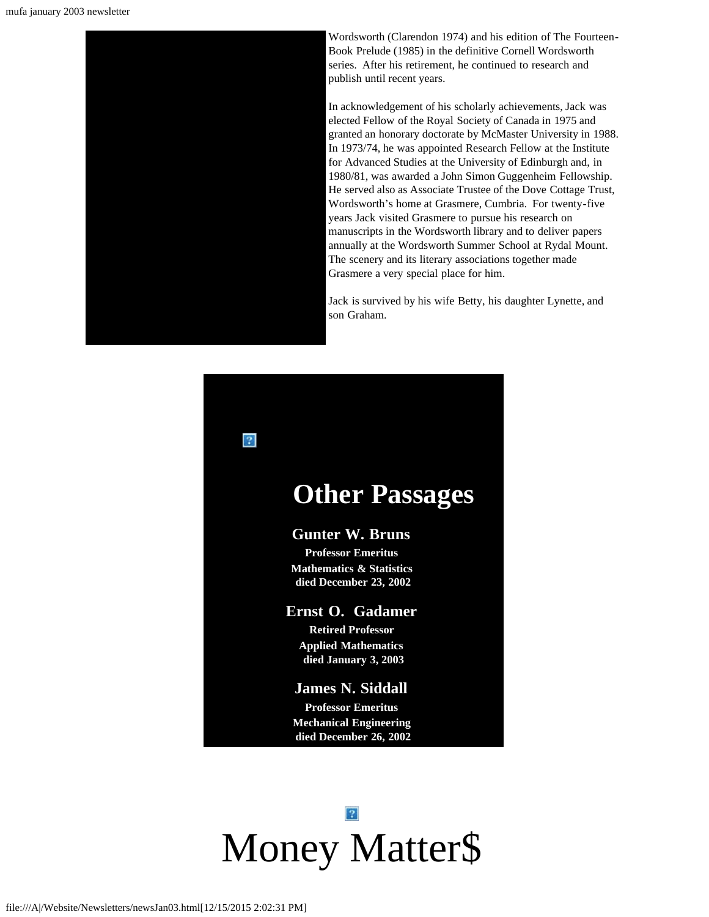

Wordsworth (Clarendon 1974) and his edition of The Fourteen-Book Prelude (1985) in the definitive Cornell Wordsworth series. After his retirement, he continued to research and publish until recent years.

In acknowledgement of his scholarly achievements, Jack was elected Fellow of the Royal Society of Canada in 1975 and granted an honorary doctorate by McMaster University in 1988. In 1973/74, he was appointed Research Fellow at the Institute for Advanced Studies at the University of Edinburgh and, in 1980/81, was awarded a John Simon Guggenheim Fellowship. He served also as Associate Trustee of the Dove Cottage Trust, Wordsworth's home at Grasmere, Cumbria. For twenty-five years Jack visited Grasmere to pursue his research on manuscripts in the Wordsworth library and to deliver papers annually at the Wordsworth Summer School at Rydal Mount. The scenery and its literary associations together made Grasmere a very special place for him.

Jack is survived by his wife Betty, his daughter Lynette, and son Graham.

<span id="page-5-0"></span>

## **Other Passages**

### **Gunter W. Bruns**

**Professor Emeritus Mathematics & Statistics died December 23, 2002**

### **Ernst O. Gadamer**

**Retired Professor Applied Mathematics died January 3, 2003**

### **James N. Siddall**

**Professor Emeritus Mechanical Engineering died December 26, 2002**

# <span id="page-5-1"></span> $|2|$ Money Matter\$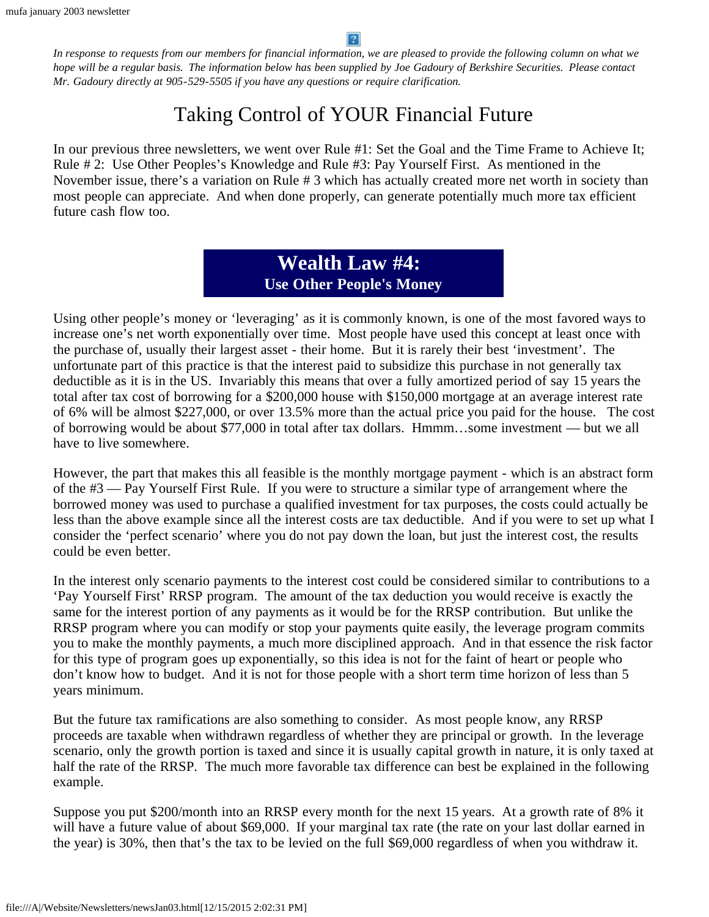*In response to requests from our members for financial information, we are pleased to provide the following column on what we hope will be a regular basis. The information below has been supplied by Joe Gadoury of Berkshire Securities. Please contact Mr. Gadoury directly at 905-529-5505 if you have any questions or require clarification.*

## Taking Control of YOUR Financial Future

In our previous three newsletters, we went over Rule #1: Set the Goal and the Time Frame to Achieve It; Rule # 2: Use Other Peoples's Knowledge and Rule #3: Pay Yourself First. As mentioned in the November issue, there's a variation on Rule # 3 which has actually created more net worth in society than most people can appreciate. And when done properly, can generate potentially much more tax efficient future cash flow too.

> **Wealth Law #4: Use Other People's Money**

Using other people's money or 'leveraging' as it is commonly known, is one of the most favored ways to increase one's net worth exponentially over time. Most people have used this concept at least once with the purchase of, usually their largest asset - their home. But it is rarely their best 'investment'. The unfortunate part of this practice is that the interest paid to subsidize this purchase in not generally tax deductible as it is in the US. Invariably this means that over a fully amortized period of say 15 years the total after tax cost of borrowing for a \$200,000 house with \$150,000 mortgage at an average interest rate of 6% will be almost \$227,000, or over 13.5% more than the actual price you paid for the house. The cost of borrowing would be about \$77,000 in total after tax dollars. Hmmm…some investment — but we all have to live somewhere.

However, the part that makes this all feasible is the monthly mortgage payment - which is an abstract form of the #3 — Pay Yourself First Rule. If you were to structure a similar type of arrangement where the borrowed money was used to purchase a qualified investment for tax purposes, the costs could actually be less than the above example since all the interest costs are tax deductible. And if you were to set up what I consider the 'perfect scenario' where you do not pay down the loan, but just the interest cost, the results could be even better.

In the interest only scenario payments to the interest cost could be considered similar to contributions to a 'Pay Yourself First' RRSP program. The amount of the tax deduction you would receive is exactly the same for the interest portion of any payments as it would be for the RRSP contribution. But unlike the RRSP program where you can modify or stop your payments quite easily, the leverage program commits you to make the monthly payments, a much more disciplined approach. And in that essence the risk factor for this type of program goes up exponentially, so this idea is not for the faint of heart or people who don't know how to budget. And it is not for those people with a short term time horizon of less than 5 years minimum.

But the future tax ramifications are also something to consider. As most people know, any RRSP proceeds are taxable when withdrawn regardless of whether they are principal or growth. In the leverage scenario, only the growth portion is taxed and since it is usually capital growth in nature, it is only taxed at half the rate of the RRSP. The much more favorable tax difference can best be explained in the following example.

Suppose you put \$200/month into an RRSP every month for the next 15 years. At a growth rate of 8% it will have a future value of about \$69,000. If your marginal tax rate (the rate on your last dollar earned in the year) is 30%, then that's the tax to be levied on the full \$69,000 regardless of when you withdraw it.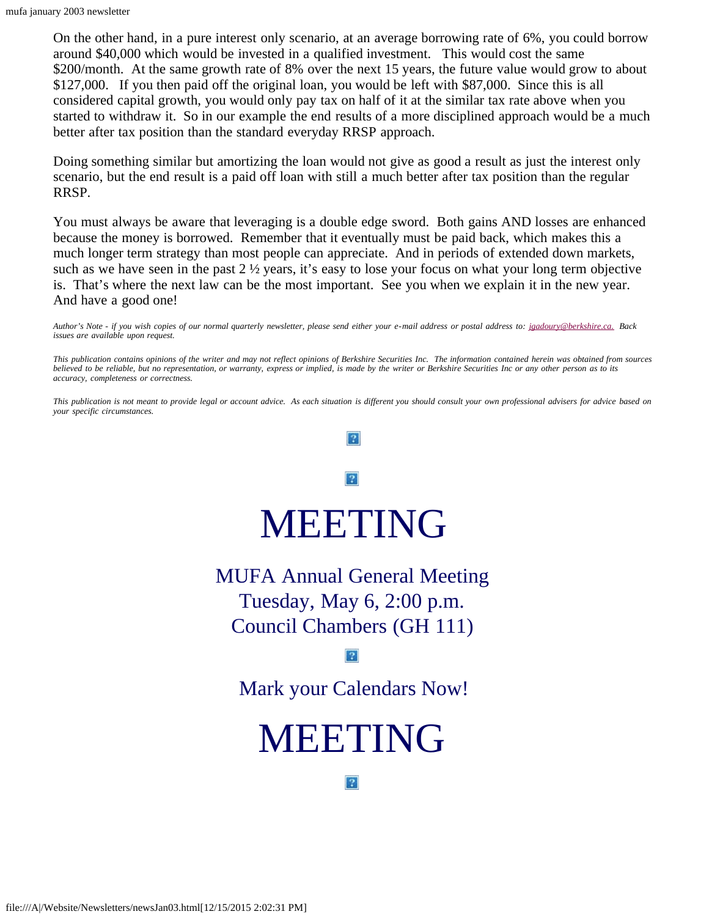On the other hand, in a pure interest only scenario, at an average borrowing rate of 6%, you could borrow around \$40,000 which would be invested in a qualified investment. This would cost the same \$200/month. At the same growth rate of 8% over the next 15 years, the future value would grow to about \$127,000. If you then paid off the original loan, you would be left with \$87,000. Since this is all considered capital growth, you would only pay tax on half of it at the similar tax rate above when you started to withdraw it. So in our example the end results of a more disciplined approach would be a much better after tax position than the standard everyday RRSP approach.

Doing something similar but amortizing the loan would not give as good a result as just the interest only scenario, but the end result is a paid off loan with still a much better after tax position than the regular RRSP.

You must always be aware that leveraging is a double edge sword. Both gains AND losses are enhanced because the money is borrowed. Remember that it eventually must be paid back, which makes this a much longer term strategy than most people can appreciate. And in periods of extended down markets, such as we have seen in the past  $2 \frac{1}{2}$  years, it's easy to lose your focus on what your long term objective is. That's where the next law can be the most important. See you when we explain it in the new year. And have a good one!

*Author's Note - if you wish copies of our normal quarterly newsletter, please send either your e-mail address or postal address to: [jgadoury@berkshire.ca.](mailto:jgadoury@berkshire.ca) Back issues are available upon request.*

*This publication contains opinions of the writer and may not reflect opinions of Berkshire Securities Inc. The information contained herein was obtained from sources believed to be reliable, but no representation, or warranty, express or implied, is made by the writer or Berkshire Securities Inc or any other person as to its accuracy, completeness or correctness.*

<span id="page-7-0"></span>*This publication is not meant to provide legal or account advice. As each situation is different you should consult your own professional advisers for advice based on your specific circumstances.*

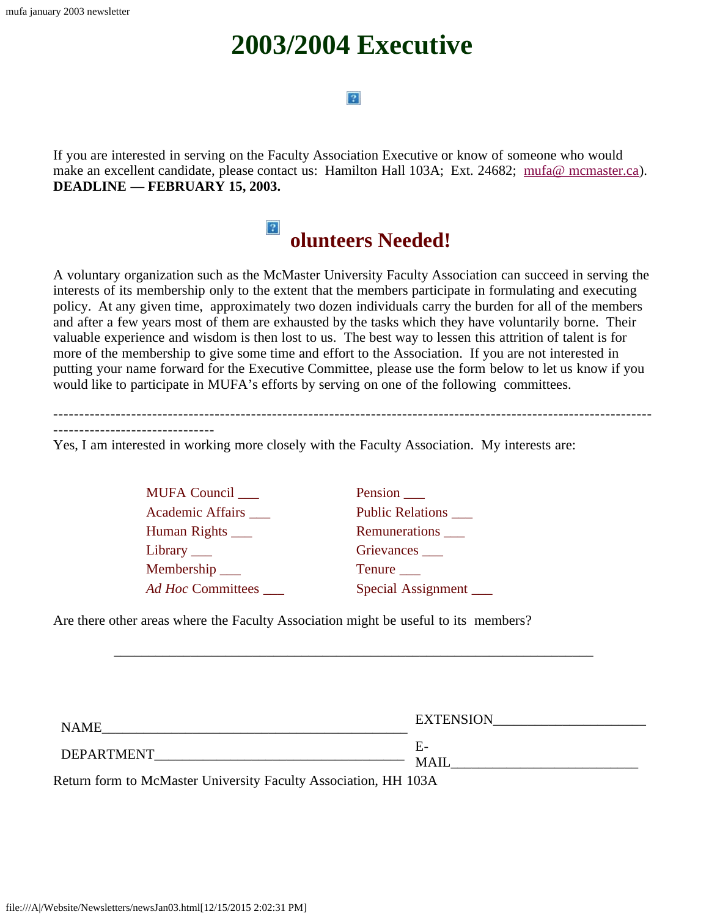# **2003/2004 Executive**

### $|2\rangle$

<span id="page-8-0"></span>If you are interested in serving on the Faculty Association Executive or know of someone who would make an excellent candidate, please contact us: Hamilton Hall 103A; Ext. 24682; [mufa@ mcmaster.ca\)](mailto:mufa@mcmaster.ca). **DEADLINE — FEBRUARY 15, 2003.**

#### $|2|$ **olunteers Needed!**

<span id="page-8-1"></span>A voluntary organization such as the McMaster University Faculty Association can succeed in serving the interests of its membership only to the extent that the members participate in formulating and executing policy. At any given time, approximately two dozen individuals carry the burden for all of the members and after a few years most of them are exhausted by the tasks which they have voluntarily borne. Their valuable experience and wisdom is then lost to us. The best way to lessen this attrition of talent is for more of the membership to give some time and effort to the Association. If you are not interested in putting your name forward for the Executive Committee, please use the form below to let us know if you would like to participate in MUFA's efforts by serving on one of the following committees.

-------------------------------

Yes, I am interested in working more closely with the Faculty Association. My interests are:

MUFA Council \_\_\_ Pension \_\_ Academic Affairs **Public Relations** Human Rights \_\_\_\_ Remunerations \_\_\_ Library \_\_\_ Grievances \_\_\_ Membership Tenure *Ad Hoc* Committees Special Assignment

Are there other areas where the Faculty Association might be useful to its members?

| <b>NAME</b>                                             | <b>EXTENSION</b>  |
|---------------------------------------------------------|-------------------|
| <b>DEPARTMENT</b><br>$\sim$<br>______<br>______<br>____ | E-<br><b>MAIL</b> |

\_\_\_\_\_\_\_\_\_\_\_\_\_\_\_\_\_\_\_\_\_\_\_\_\_\_\_\_\_\_\_\_\_\_\_\_\_\_\_\_\_\_\_\_\_\_\_\_\_\_\_\_\_\_\_\_\_\_\_\_\_\_\_\_\_\_\_\_\_

Return form to McMaster University Faculty Association, HH 103A